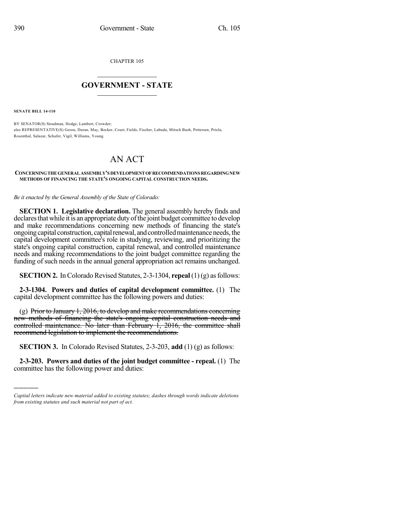CHAPTER 105

## $\mathcal{L}_\text{max}$  . The set of the set of the set of the set of the set of the set of the set of the set of the set of the set of the set of the set of the set of the set of the set of the set of the set of the set of the set **GOVERNMENT - STATE**  $\_$   $\_$   $\_$   $\_$   $\_$   $\_$   $\_$   $\_$   $\_$

**SENATE BILL 14-110**

)))))

BY SENATOR(S) Steadman, Hodge, Lambert, Crowder; also REPRESENTATIVE(S) Gerou, Duran, May, Becker, Court, Fields, Fischer, Labuda, Mitsch Bush, Pettersen, Priola, Rosenthal, Salazar, Schafer, Vigil, Williams, Young.

## AN ACT

## **CONCERNINGTHEGENERALASSEMBLY'S DEVELOPMENTOFRECOMMENDATIONS REGARDINGNEW METHODS OF FINANCING THE STATE'S ONGOING CAPITAL CONSTRUCTION NEEDS.**

*Be it enacted by the General Assembly of the State of Colorado:*

**SECTION 1. Legislative declaration.** The general assembly hereby finds and declares that while it is an appropriate duty of the joint budget committee to develop and make recommendations concerning new methods of financing the state's ongoing capital construction, capital renewal, and controlled maintenance needs, the capital development committee's role in studying, reviewing, and prioritizing the state's ongoing capital construction, capital renewal, and controlled maintenance needs and making recommendations to the joint budget committee regarding the funding of such needs in the annual general appropriation act remains unchanged.

**SECTION 2.** In Colorado Revised Statutes, 2-3-1304, **repeal** (1)(g) as follows:

**2-3-1304. Powers and duties of capital development committee.** (1) The capital development committee has the following powers and duties:

(g) Prior to January 1, 2016, to develop and make recommendations concerning new methods of financing the state's ongoing capital construction needs and controlled maintenance. No later than February 1, 2016, the committee shall recommend legislation to implement the recommendations.

**SECTION 3.** In Colorado Revised Statutes, 2-3-203, **add** (1) (g) as follows:

**2-3-203. Powers and duties of the joint budget committee - repeal.** (1) The committee has the following power and duties:

*Capital letters indicate new material added to existing statutes; dashes through words indicate deletions from existing statutes and such material not part of act.*